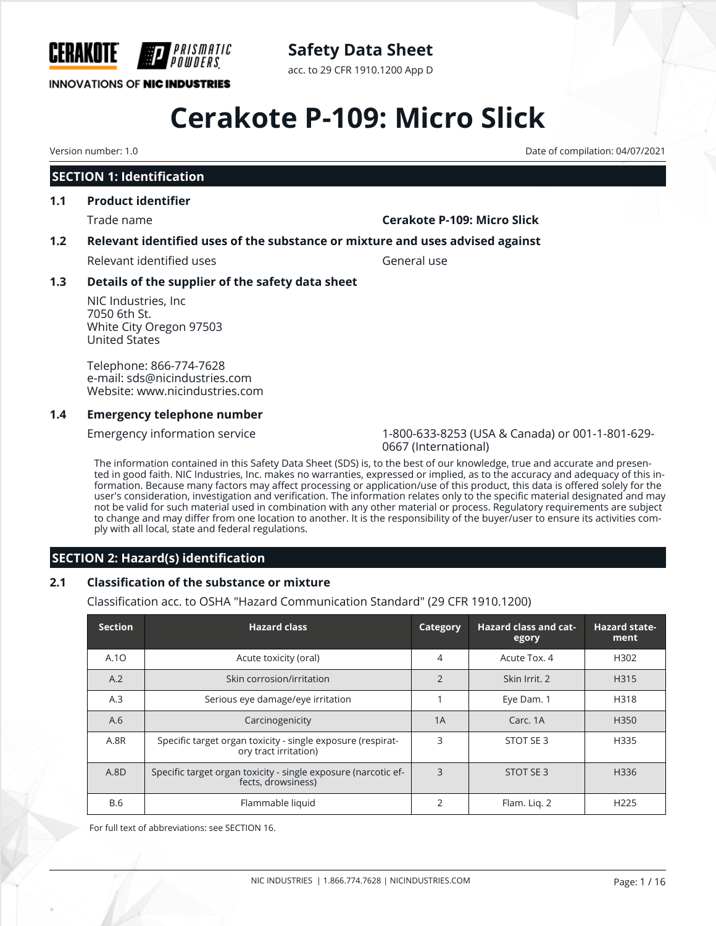

## **Safety Data Sheet**

acc. to 29 CFR 1910.1200 App D

# **Cerakote P-109: Micro Slick**

## **SECTION 1: Identification**

## **1.1 Product identifier**

#### Trade name **Cerakote P-109: Micro Slick**

### **1.2 Relevant identified uses of the substance or mixture and uses advised against**

Relevant identified uses General use

### **1.3 Details of the supplier of the safety data sheet**

NIC Industries, Inc 7050 6th St. White City Oregon 97503 United States

Telephone: 866-774-7628 e-mail: sds@nicindustries.com Website: www.nicindustries.com

#### **1.4 Emergency telephone number**

Emergency information service 1-800-633-8253 (USA & Canada) or 001-1-801-629- 0667 (International)

The information contained in this Safety Data Sheet (SDS) is, to the best of our knowledge, true and accurate and presented in good faith. NIC Industries, Inc. makes no warranties, expressed or implied, as to the accuracy and adequacy of this information. Because many factors may affect processing or application/use of this product, this data is offered solely for the user's consideration, investigation and verification. The information relates only to the specific material designated and may not be valid for such material used in combination with any other material or process. Regulatory requirements are subject to change and may differ from one location to another. It is the responsibility of the buyer/user to ensure its activities comply with all local, state and federal regulations.

### **SECTION 2: Hazard(s) identification**

### **2.1 Classification of the substance or mixture**

Classification acc. to OSHA "Hazard Communication Standard" (29 CFR 1910.1200)

| <b>Section</b> | <b>Hazard class</b>                                                                  | Category       | <b>Hazard class and cat-</b><br>egory | <b>Hazard state-</b><br>ment |
|----------------|--------------------------------------------------------------------------------------|----------------|---------------------------------------|------------------------------|
| A.10           | Acute toxicity (oral)                                                                | 4              | Acute Tox, 4                          | H302                         |
| A.2            | Skin corrosion/irritation                                                            | $\overline{2}$ | Skin Irrit, 2                         | H315                         |
| A.3            | Serious eye damage/eye irritation                                                    |                | Eye Dam. 1                            | H318                         |
| A.6            | Carcinogenicity                                                                      | 1A             | Carc, 1A                              | H <sub>350</sub>             |
| A.8R           | Specific target organ toxicity - single exposure (respirat-<br>ory tract irritation) | 3              | STOT SE 3                             | H335                         |
| A.8D           | Specific target organ toxicity - single exposure (narcotic ef-<br>fects, drowsiness) | 3              | STOT SE 3                             | H336                         |
| <b>B.6</b>     | Flammable liquid                                                                     | $\mathfrak{D}$ | Flam. Lig. 2                          | H <sub>225</sub>             |

For full text of abbreviations: see SECTION 16.

Version number: 1.0 Date of compilation: 04/07/2021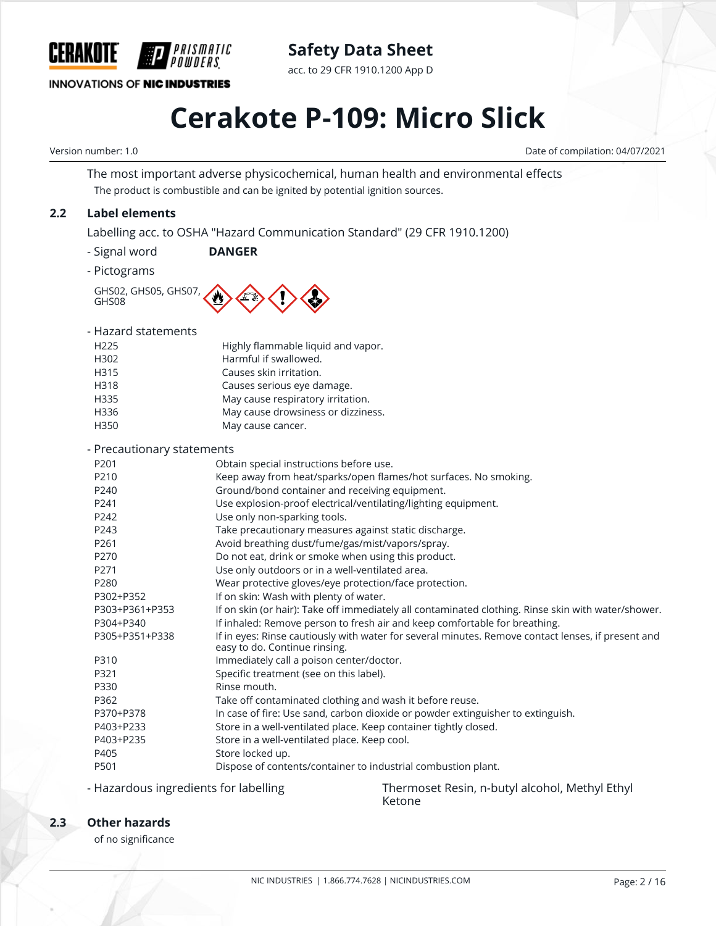

**Safety Data Sheet**

acc. to 29 CFR 1910.1200 App D

# **Cerakote P-109: Micro Slick**

Version number: 1.0 Date of compilation: 04/07/2021

The most important adverse physicochemical, human health and environmental effects The product is combustible and can be ignited by potential ignition sources.

### **2.2 Label elements**

Labelling acc. to OSHA "Hazard Communication Standard" (29 CFR 1910.1200)

- Signal word **DANGER**
- Pictograms

GHS02, GHS05, GHS07, GHS08

| - Hazard statements |  |
|---------------------|--|
| H <sub>225</sub>    |  |

| H <sub>225</sub> | Highly flammable liquid and vapor. |
|------------------|------------------------------------|
| H302             | Harmful if swallowed.              |
| H315             | Causes skin irritation.            |
| H318             | Causes serious eye damage.         |
| H335             | May cause respiratory irritation.  |
| H336             | May cause drowsiness or dizziness. |
| H350             | May cause cancer.                  |

#### - Precautionary statements

| Precautionary statements |                                                                                                                                     |
|--------------------------|-------------------------------------------------------------------------------------------------------------------------------------|
| P201                     | Obtain special instructions before use.                                                                                             |
| P <sub>210</sub>         | Keep away from heat/sparks/open flames/hot surfaces. No smoking.                                                                    |
| P <sub>240</sub>         | Ground/bond container and receiving equipment.                                                                                      |
| P241                     | Use explosion-proof electrical/ventilating/lighting equipment.                                                                      |
| P242                     | Use only non-sparking tools.                                                                                                        |
| P243                     | Take precautionary measures against static discharge.                                                                               |
| P <sub>261</sub>         | Avoid breathing dust/fume/gas/mist/vapors/spray.                                                                                    |
| P270                     | Do not eat, drink or smoke when using this product.                                                                                 |
| P271                     | Use only outdoors or in a well-ventilated area.                                                                                     |
| P280                     | Wear protective gloves/eye protection/face protection.                                                                              |
| P302+P352                | If on skin: Wash with plenty of water.                                                                                              |
| P303+P361+P353           | If on skin (or hair): Take off immediately all contaminated clothing. Rinse skin with water/shower.                                 |
| P304+P340                | If inhaled: Remove person to fresh air and keep comfortable for breathing.                                                          |
| P305+P351+P338           | If in eyes: Rinse cautiously with water for several minutes. Remove contact lenses, if present and<br>easy to do. Continue rinsing. |
| P310                     | Immediately call a poison center/doctor.                                                                                            |
| P321                     | Specific treatment (see on this label).                                                                                             |
| P330                     | Rinse mouth.                                                                                                                        |
| P362                     | Take off contaminated clothing and wash it before reuse.                                                                            |
| P370+P378                | In case of fire: Use sand, carbon dioxide or powder extinguisher to extinguish.                                                     |
| P403+P233                | Store in a well-ventilated place. Keep container tightly closed.                                                                    |
| P403+P235                | Store in a well-ventilated place. Keep cool.                                                                                        |
| P405                     | Store locked up.                                                                                                                    |
| P501                     | Dispose of contents/container to industrial combustion plant.                                                                       |
|                          |                                                                                                                                     |

- Hazardous ingredients for labelling Thermoset Resin, n-butyl alcohol, Methyl Ethyl Ketone

### **2.3 Other hazards**

of no significance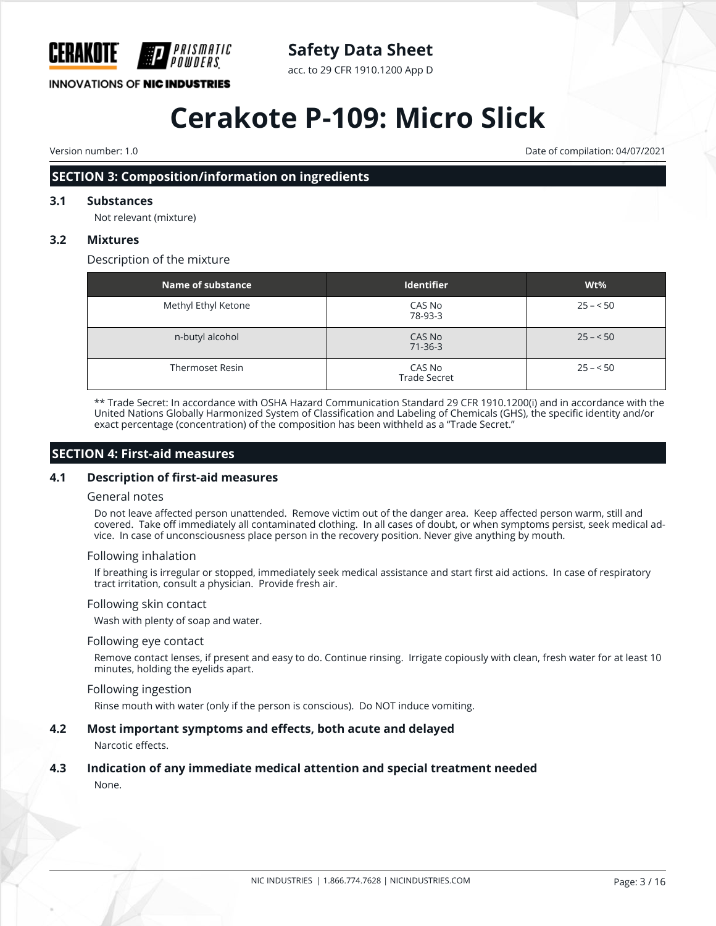

## **Safety Data Sheet**

acc. to 29 CFR 1910.1200 App D

# **Cerakote P-109: Micro Slick**

Version number: 1.0 Date of compilation: 04/07/2021

## **SECTION 3: Composition/information on ingredients**

## **3.1 Substances**

Not relevant (mixture)

## **3.2 Mixtures**

Description of the mixture

| Name of substance      | <b>Identifier</b>             | Wt%       |
|------------------------|-------------------------------|-----------|
| Methyl Ethyl Ketone    | CAS No<br>78-93-3             | $25 - 50$ |
| n-butyl alcohol        | CAS No<br>$71 - 36 - 3$       | $25 - 50$ |
| <b>Thermoset Resin</b> | CAS No<br><b>Trade Secret</b> | $25 - 50$ |

\*\* Trade Secret: In accordance with OSHA Hazard Communication Standard 29 CFR 1910.1200(i) and in accordance with the United Nations Globally Harmonized System of Classification and Labeling of Chemicals (GHS), the specific identity and/or exact percentage (concentration) of the composition has been withheld as a "Trade Secret."

### **SECTION 4: First-aid measures**

#### **4.1 Description of first-aid measures**

#### General notes

Do not leave affected person unattended. Remove victim out of the danger area. Keep affected person warm, still and covered. Take off immediately all contaminated clothing. In all cases of doubt, or when symptoms persist, seek medical advice. In case of unconsciousness place person in the recovery position. Never give anything by mouth.

#### Following inhalation

If breathing is irregular or stopped, immediately seek medical assistance and start first aid actions. In case of respiratory tract irritation, consult a physician. Provide fresh air.

#### Following skin contact

Wash with plenty of soap and water.

#### Following eye contact

Remove contact lenses, if present and easy to do. Continue rinsing. Irrigate copiously with clean, fresh water for at least 10 minutes, holding the eyelids apart.

#### Following ingestion

Rinse mouth with water (only if the person is conscious). Do NOT induce vomiting.

#### **4.2 Most important symptoms and effects, both acute and delayed**

Narcotic effects.

## **4.3 Indication of any immediate medical attention and special treatment needed**

None.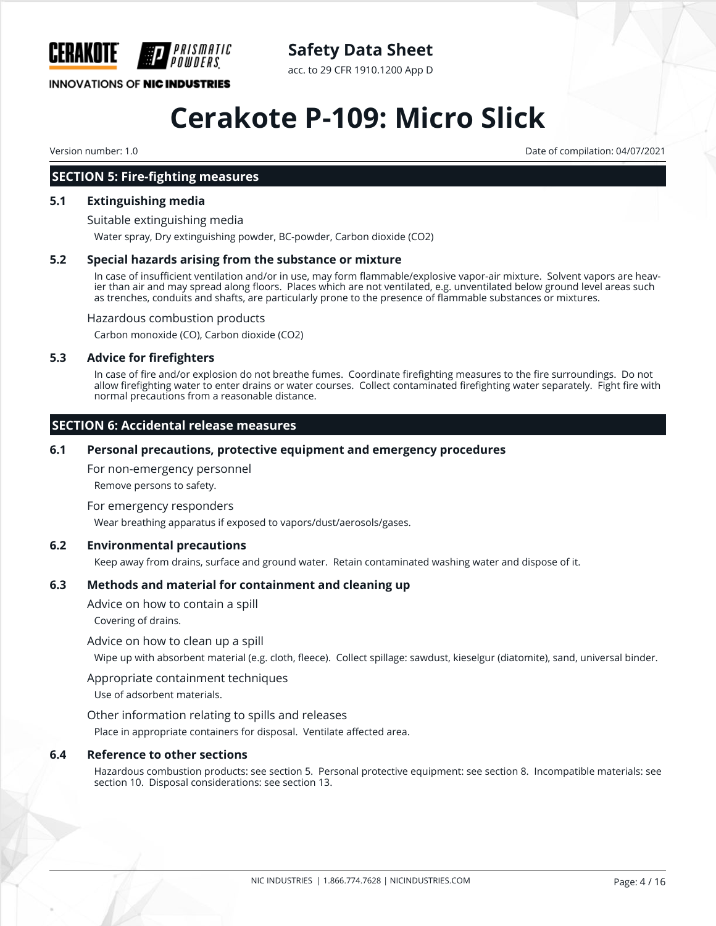

**Safety Data Sheet**

acc. to 29 CFR 1910.1200 App D

# **Cerakote P-109: Micro Slick**

Version number: 1.0 Date of compilation: 04/07/2021

### **SECTION 5: Fire-fighting measures**

#### **5.1 Extinguishing media**

Suitable extinguishing media

Water spray, Dry extinguishing powder, BC-powder, Carbon dioxide (CO2)

#### **5.2 Special hazards arising from the substance or mixture**

In case of insufficient ventilation and/or in use, may form flammable/explosive vapor-air mixture. Solvent vapors are heavier than air and may spread along floors. Places which are not ventilated, e.g. unventilated below ground level areas such as trenches, conduits and shafts, are particularly prone to the presence of flammable substances or mixtures.

Hazardous combustion products

Carbon monoxide (CO), Carbon dioxide (CO2)

#### **5.3 Advice for firefighters**

In case of fire and/or explosion do not breathe fumes. Coordinate firefighting measures to the fire surroundings. Do not allow firefighting water to enter drains or water courses. Collect contaminated firefighting water separately. Fight fire with normal precautions from a reasonable distance.

### **SECTION 6: Accidental release measures**

#### **6.1 Personal precautions, protective equipment and emergency procedures**

For non-emergency personnel

Remove persons to safety.

For emergency responders

Wear breathing apparatus if exposed to vapors/dust/aerosols/gases.

#### **6.2 Environmental precautions**

Keep away from drains, surface and ground water. Retain contaminated washing water and dispose of it.

#### **6.3 Methods and material for containment and cleaning up**

Advice on how to contain a spill

Covering of drains.

Advice on how to clean up a spill

Wipe up with absorbent material (e.g. cloth, fleece). Collect spillage: sawdust, kieselgur (diatomite), sand, universal binder.

#### Appropriate containment techniques

Use of adsorbent materials.

Other information relating to spills and releases

Place in appropriate containers for disposal. Ventilate affected area.

#### **6.4 Reference to other sections**

Hazardous combustion products: see section 5. Personal protective equipment: see section 8. Incompatible materials: see section 10. Disposal considerations: see section 13.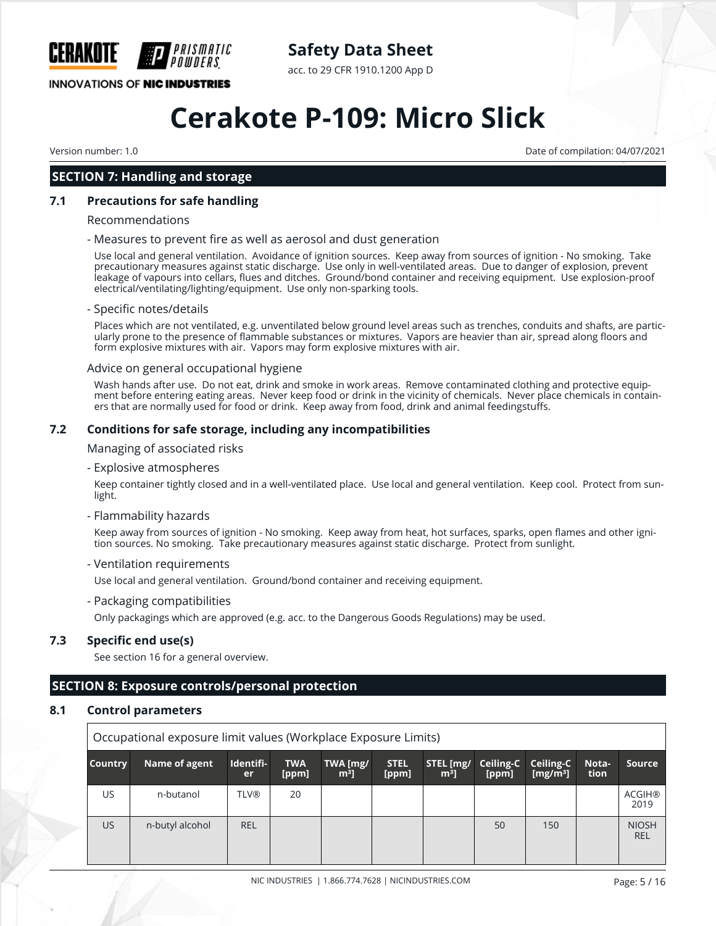

**Safety Data Sheet**

acc. to 29 CFR 1910.1200 App D

# **Cerakote P-109: Micro Slick**

Version number: 1.0 Date of compilation: 04/07/2021

### **SECTION 7: Handling and storage**

#### **7.1 Precautions for safe handling**

#### Recommendations

#### - Measures to prevent fire as well as aerosol and dust generation

Use local and general ventilation. Avoidance of ignition sources. Keep away from sources of ignition - No smoking. Take precautionary measures against static discharge. Use only in well-ventilated areas. Due to danger of explosion, prevent leakage of vapours into cellars, flues and ditches. Ground/bond container and receiving equipment. Use explosion-proof electrical/ventilating/lighting/equipment. Use only non-sparking tools.

#### - Specific notes/details

Places which are not ventilated, e.g. unventilated below ground level areas such as trenches, conduits and shafts, are particularly prone to the presence of flammable substances or mixtures. Vapors are heavier than air, spread along floors and form explosive mixtures with air. Vapors may form explosive mixtures with air.

#### Advice on general occupational hygiene

Wash hands after use. Do not eat, drink and smoke in work areas. Remove contaminated clothing and protective equipment before entering eating areas. Never keep food or drink in the vicinity of chemicals. Never place chemicals in containers that are normally used for food or drink. Keep away from food, drink and animal feedingstuffs.

#### **7.2 Conditions for safe storage, including any incompatibilities**

Managing of associated risks

- Explosive atmospheres

Keep container tightly closed and in a well-ventilated place. Use local and general ventilation. Keep cool. Protect from sunlight.

#### - Flammability hazards

Keep away from sources of ignition - No smoking. Keep away from heat, hot surfaces, sparks, open flames and other ignition sources. No smoking. Take precautionary measures against static discharge. Protect from sunlight.

#### - Ventilation requirements

Use local and general ventilation. Ground/bond container and receiving equipment.

- Packaging compatibilities

Only packagings which are approved (e.g. acc. to the Dangerous Goods Regulations) may be used.

#### **7.3 Specific end use(s)**

See section 16 for a general overview.

### **SECTION 8: Exposure controls/personal protection**

#### **8.1 Control parameters**

| Occupational exposure limit values (Workplace Exposure Limits) |                 |                 |                     |                            |                      |                             |                    |                          |               |                            |
|----------------------------------------------------------------|-----------------|-----------------|---------------------|----------------------------|----------------------|-----------------------------|--------------------|--------------------------|---------------|----------------------------|
| <b>Country</b>                                                 | Name of agent   | Identifi-<br>er | <b>TWA</b><br>[ppm] | TWA [mg/<br>m <sup>3</sup> | <b>STEL</b><br>[ppm] | STEL [mg/<br>m <sup>3</sup> | Ceiling-C<br>[ppm] | Ceiling-C<br>[ $mg/m3$ ] | Nota-<br>tion | Source                     |
| US.                                                            | n-butanol       | <b>TLV®</b>     | 20                  |                            |                      |                             |                    |                          |               | <b>ACGIH®</b><br>2019      |
| US.                                                            | n-butyl alcohol | <b>REL</b>      |                     |                            |                      |                             | 50                 | 150                      |               | <b>NIOSH</b><br><b>REL</b> |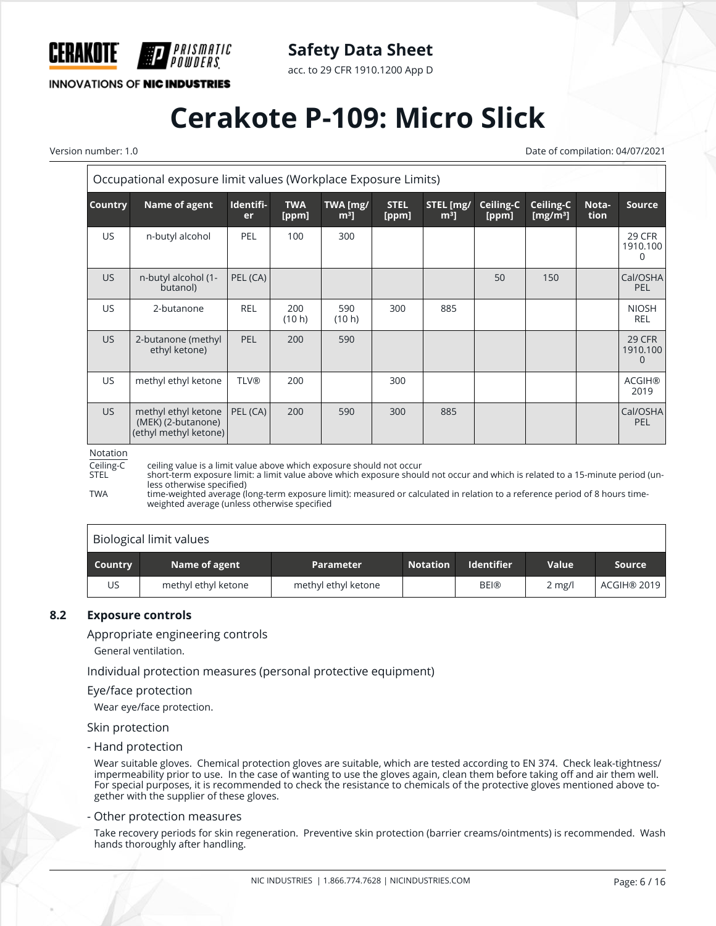

acc. to 29 CFR 1910.1200 App D

**INNOVATIONS OF NIC INDUSTRIES** 

PRISMATIC

## **Cerakote P-109: Micro Slick**

Version number: 1.0 Date of compilation: 04/07/2021

|                | Occupational exposure limit values (Workplace Exposure Limits)     |                        |                     |                            |                      |                             |                    |                                   |               |                                |
|----------------|--------------------------------------------------------------------|------------------------|---------------------|----------------------------|----------------------|-----------------------------|--------------------|-----------------------------------|---------------|--------------------------------|
| <b>Country</b> | Name of agent                                                      | Identifi-<br><b>er</b> | <b>TWA</b><br>[ppm] | TWA [mg/<br>m <sup>3</sup> | <b>STEL</b><br>[ppm] | STEL [mg/<br>m <sup>3</sup> | Ceiling-C<br>[ppm] | Ceiling-C<br>[mg/m <sup>3</sup> ] | Nota-<br>tion | <b>Source</b>                  |
| US.            | n-butyl alcohol                                                    | <b>PEL</b>             | 100                 | 300                        |                      |                             |                    |                                   |               | 29 CFR<br>1910.100<br>0        |
| US.            | n-butyl alcohol (1-<br>butanol)                                    | PEL (CA)               |                     |                            |                      |                             | 50                 | 150                               |               | Cal/OSHA<br>PEL                |
| US.            | 2-butanone                                                         | <b>REL</b>             | 200<br>(10 h)       | 590<br>(10 h)              | 300                  | 885                         |                    |                                   |               | <b>NIOSH</b><br><b>REL</b>     |
| US.            | 2-butanone (methyl<br>ethyl ketone)                                | <b>PEL</b>             | 200                 | 590                        |                      |                             |                    |                                   |               | <b>29 CFR</b><br>1910.100<br>0 |
| US.            | methyl ethyl ketone                                                | <b>TLV®</b>            | 200                 |                            | 300                  |                             |                    |                                   |               | <b>ACGIH®</b><br>2019          |
| US.            | methyl ethyl ketone<br>(MEK) (2-butanone)<br>(ethyl methyl ketone) | PEL (CA)               | 200                 | 590                        | 300                  | 885                         |                    |                                   |               | Cal/OSHA<br>PEL                |

#### Notation

Ceiling-C ceiling value is a limit value above which exposure should not occur short-term exposure limit: a limit value above which exposure should not occur and which is related to a 15-minute period (unless otherwise specified)

TWA time-weighted average (long-term exposure limit): measured or calculated in relation to a reference period of 8 hours timeweighted average (unless otherwise specified

#### Biological limit values

| Country | Name of agent       | <b>Parameter</b>    | <b>Notation</b> | <b>Identifier</b> | <b>Value</b>     | Source      |
|---------|---------------------|---------------------|-----------------|-------------------|------------------|-------------|
| US      | methyl ethyl ketone | methyl ethyl ketone |                 | <b>BEI®</b>       | $2 \text{ mg/l}$ | ACGIH® 2019 |

#### **8.2 Exposure controls**

Appropriate engineering controls

General ventilation.

Individual protection measures (personal protective equipment)

#### Eye/face protection

Wear eye/face protection.

#### Skin protection

- Hand protection

Wear suitable gloves. Chemical protection gloves are suitable, which are tested according to EN 374. Check leak-tightness/ impermeability prior to use. In the case of wanting to use the gloves again, clean them before taking off and air them well. For special purposes, it is recommended to check the resistance to chemicals of the protective gloves mentioned above together with the supplier of these gloves.

#### - Other protection measures

Take recovery periods for skin regeneration. Preventive skin protection (barrier creams/ointments) is recommended. Wash hands thoroughly after handling.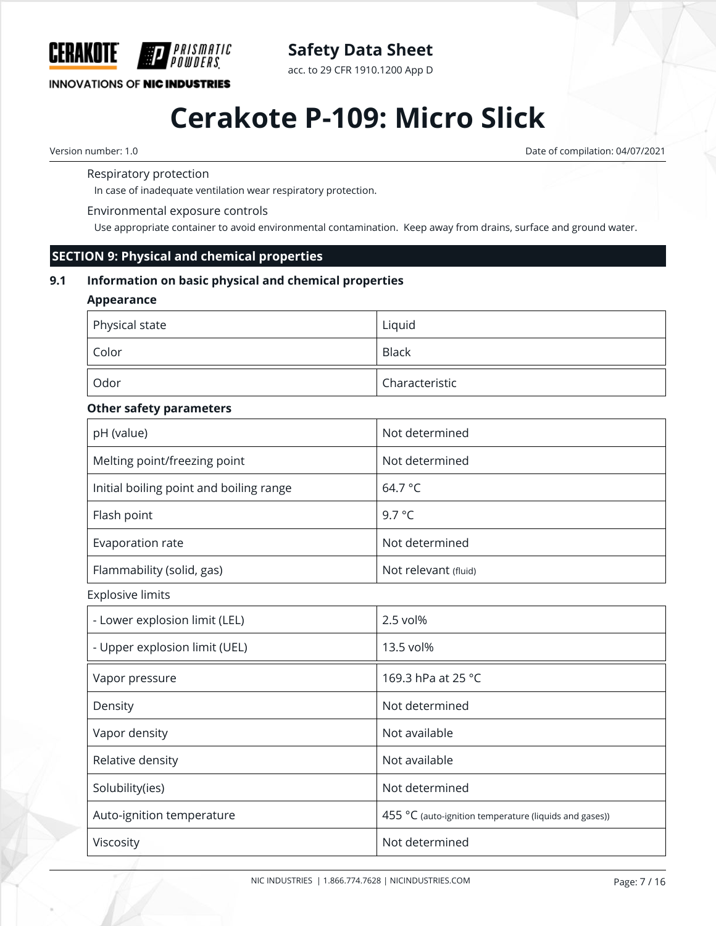

acc. to 29 CFR 1910.1200 App D

### **INNOVATIONS OF NIC INDUSTRIES**

## **Cerakote P-109: Micro Slick**

Version number: 1.0 Date of compilation: 04/07/2021

#### Respiratory protection

In case of inadequate ventilation wear respiratory protection.

#### Environmental exposure controls

*PRISMATIC* 

Use appropriate container to avoid environmental contamination. Keep away from drains, surface and ground water.

#### **SECTION 9: Physical and chemical properties**

#### **9.1 Information on basic physical and chemical properties**

#### **Appearance**

| Physical state | Liquid         |
|----------------|----------------|
| , Color        | <b>Black</b>   |
| Odor           | Characteristic |

#### **Other safety parameters**

| pH (value)                              | Not determined       |
|-----------------------------------------|----------------------|
| Melting point/freezing point            | Not determined       |
| Initial boiling point and boiling range | 64.7 °C              |
| Flash point                             | 9.7 $\degree$ C      |
| Evaporation rate                        | Not determined       |
| Flammability (solid, gas)               | Not relevant (fluid) |

Explosive limits

| - Lower explosion limit (LEL) | 2.5 vol%                                               |
|-------------------------------|--------------------------------------------------------|
| - Upper explosion limit (UEL) | 13.5 vol%                                              |
| Vapor pressure                | 169.3 hPa at 25 °C                                     |
| Density                       | Not determined                                         |
| Vapor density                 | Not available                                          |
| Relative density              | Not available                                          |
| Solubility(ies)               | Not determined                                         |
| Auto-ignition temperature     | 455 °C (auto-ignition temperature (liquids and gases)) |
| Viscosity                     | Not determined                                         |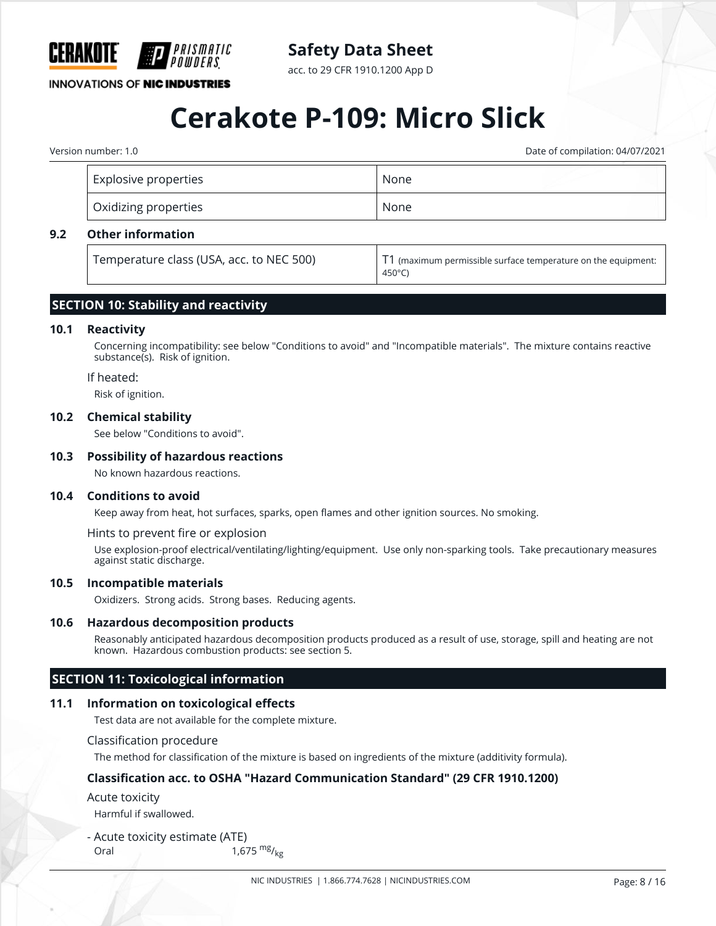

acc. to 29 CFR 1910.1200 App D

**INNOVATIONS OF NIC INDUSTRIES** 

## **Cerakote P-109: Micro Slick**

Version number: 1.0 Date of compilation: 04/07/2021

|     | <b>Explosive properties</b>               | None |                                                                                                   |
|-----|-------------------------------------------|------|---------------------------------------------------------------------------------------------------|
|     | Oxidizing properties                      | None |                                                                                                   |
| 9.2 | <b>Other information</b>                  |      |                                                                                                   |
|     | Tomporature class (LISA, ass, to NEC E00) |      | $\textbf{T1}$ /are colored as a constraint to accordance construction and the construction of the |

**Temperature class (USA, acc. to NEC 500)**  $\vert$  11 (maximum permissible surface temperature on the equipment: 450°C)

#### **SECTION 10: Stability and reactivity**

#### **10.1 Reactivity**

Concerning incompatibility: see below "Conditions to avoid" and "Incompatible materials". The mixture contains reactive substance(s). Risk of ignition.

#### If heated:

Risk of ignition.

#### **10.2 Chemical stability**

See below "Conditions to avoid".

#### **10.3 Possibility of hazardous reactions**

No known hazardous reactions.

#### **10.4 Conditions to avoid**

Keep away from heat, hot surfaces, sparks, open flames and other ignition sources. No smoking.

#### Hints to prevent fire or explosion

Use explosion-proof electrical/ventilating/lighting/equipment. Use only non-sparking tools. Take precautionary measures against static discharge.

#### **10.5 Incompatible materials**

Oxidizers. Strong acids. Strong bases. Reducing agents.

#### **10.6 Hazardous decomposition products**

Reasonably anticipated hazardous decomposition products produced as a result of use, storage, spill and heating are not known. Hazardous combustion products: see section 5.

#### **SECTION 11: Toxicological information**

#### **11.1 Information on toxicological effects**

Test data are not available for the complete mixture.

#### Classification procedure

The method for classification of the mixture is based on ingredients of the mixture (additivity formula).

#### **Classification acc. to OSHA "Hazard Communication Standard" (29 CFR 1910.1200)**

#### Acute toxicity

Harmful if swallowed.

- Acute toxicity estimate (ATE) Oral  $1,675 \frac{mg}{kg}$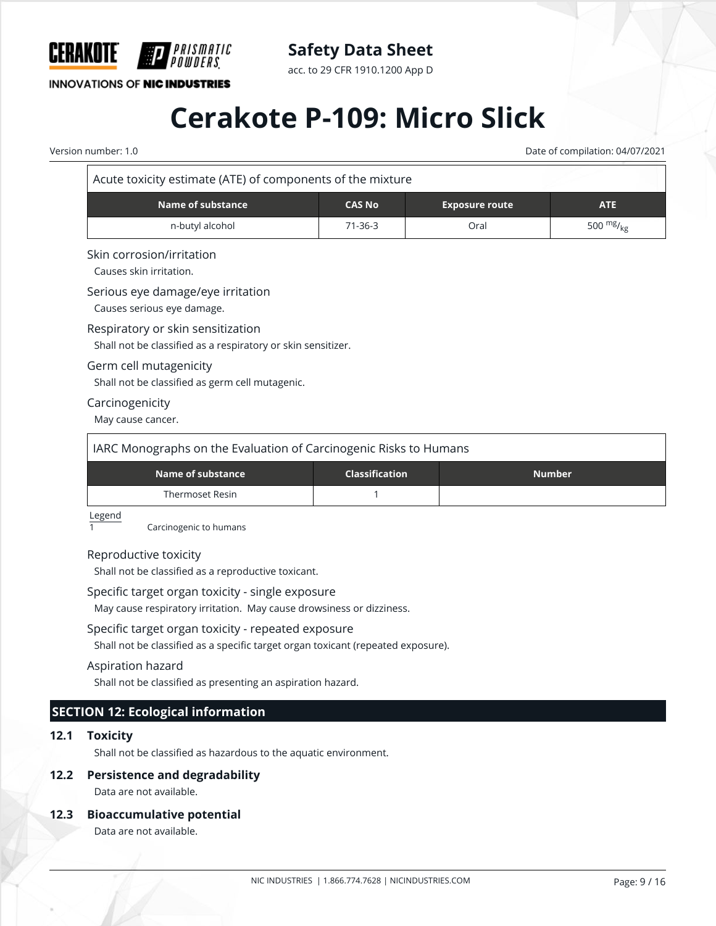

**Safety Data Sheet**

acc. to 29 CFR 1910.1200 App D

# **Cerakote P-109: Micro Slick**

Version number: 1.0 Date of compilation: 04/07/2021

| Acute toxicity estimate (ATE) of components of the mixture |  |
|------------------------------------------------------------|--|
|------------------------------------------------------------|--|

| Name of substance | <b>CAS No</b> | <b>Exposure route</b> | <b>ATE</b> |
|-------------------|---------------|-----------------------|------------|
| n-butyl alcohol   | $71 - 36 - 3$ | Oral                  | 500 $mg/g$ |

#### Skin corrosion/irritation

Causes skin irritation.

#### Serious eye damage/eye irritation

Causes serious eye damage.

#### Respiratory or skin sensitization

Shall not be classified as a respiratory or skin sensitizer.

#### Germ cell mutagenicity

Shall not be classified as germ cell mutagenic.

#### Carcinogenicity

May cause cancer.

| IARC Monographs on the Evaluation of Carcinogenic Risks to Humans |                       |               |  |
|-------------------------------------------------------------------|-----------------------|---------------|--|
| Name of substance                                                 | <b>Classification</b> | <b>Number</b> |  |
| Thermoset Resin                                                   |                       |               |  |

Legend

1 Carcinogenic to humans

#### Reproductive toxicity

Shall not be classified as a reproductive toxicant.

#### Specific target organ toxicity - single exposure

May cause respiratory irritation. May cause drowsiness or dizziness.

#### Specific target organ toxicity - repeated exposure

Shall not be classified as a specific target organ toxicant (repeated exposure).

#### Aspiration hazard

Shall not be classified as presenting an aspiration hazard.

### **SECTION 12: Ecological information**

#### **12.1 Toxicity**

Shall not be classified as hazardous to the aquatic environment.

#### **12.2 Persistence and degradability**

Data are not available.

#### **12.3 Bioaccumulative potential**

Data are not available.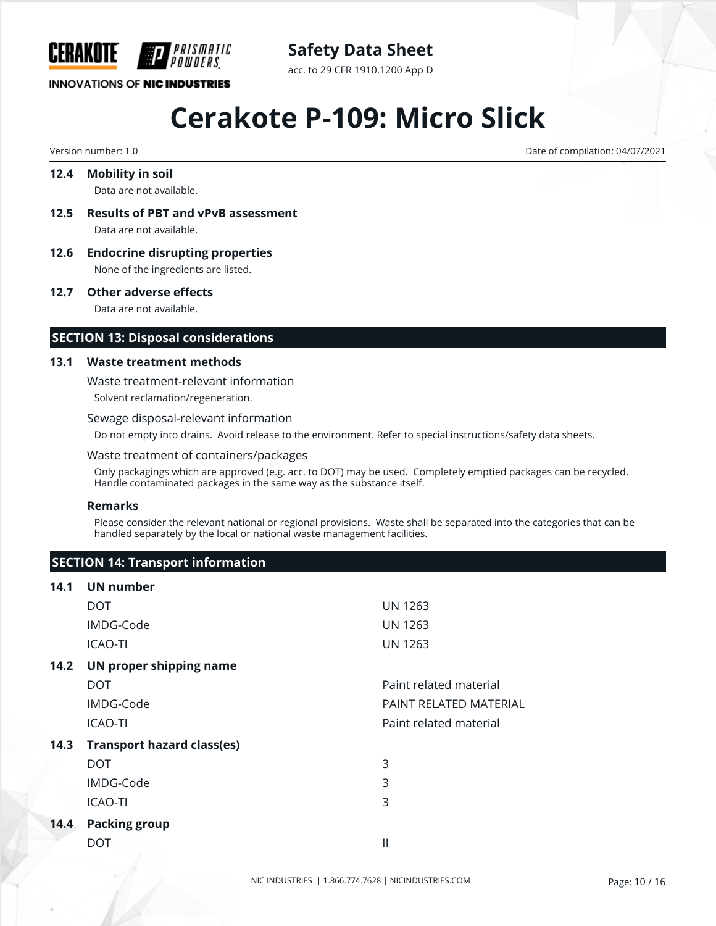

**Safety Data Sheet**

acc. to 29 CFR 1910.1200 App D

# **Cerakote P-109: Micro Slick**

Version number: 1.0 Date of compilation: 04/07/2021

#### **12.4 Mobility in soil** Data are not available.

- **12.5 Results of PBT and vPvB assessment** Data are not available.
- **12.6 Endocrine disrupting properties** None of the ingredients are listed.

**12.7 Other adverse effects**

Data are not available.

#### **SECTION 13: Disposal considerations**

#### **13.1 Waste treatment methods**

Waste treatment-relevant information

Solvent reclamation/regeneration.

#### Sewage disposal-relevant information

Do not empty into drains. Avoid release to the environment. Refer to special instructions/safety data sheets.

#### Waste treatment of containers/packages

Only packagings which are approved (e.g. acc. to DOT) may be used. Completely emptied packages can be recycled. Handle contaminated packages in the same way as the substance itself.

#### **Remarks**

Please consider the relevant national or regional provisions. Waste shall be separated into the categories that can be handled separately by the local or national waste management facilities.

#### **SECTION 14: Transport information**

#### **14.1 UN number**

|      | DOT.                              | <b>UN 1263</b>         |
|------|-----------------------------------|------------------------|
|      | IMDG-Code                         | <b>UN 1263</b>         |
|      | <b>ICAO-TI</b>                    | <b>UN 1263</b>         |
| 14.2 | UN proper shipping name           |                        |
|      | <b>DOT</b>                        | Paint related material |
|      | IMDG-Code                         | PAINT RELATED MATERIAL |
|      | <b>ICAO-TI</b>                    | Paint related material |
| 14.3 | <b>Transport hazard class(es)</b> |                        |
|      | <b>DOT</b>                        | 3                      |
|      | IMDG-Code                         | 3                      |
|      | <b>ICAO-TI</b>                    | 3                      |
| 14.4 | <b>Packing group</b>              |                        |
|      | DOT                               | $\mathbf{  }$          |
|      |                                   |                        |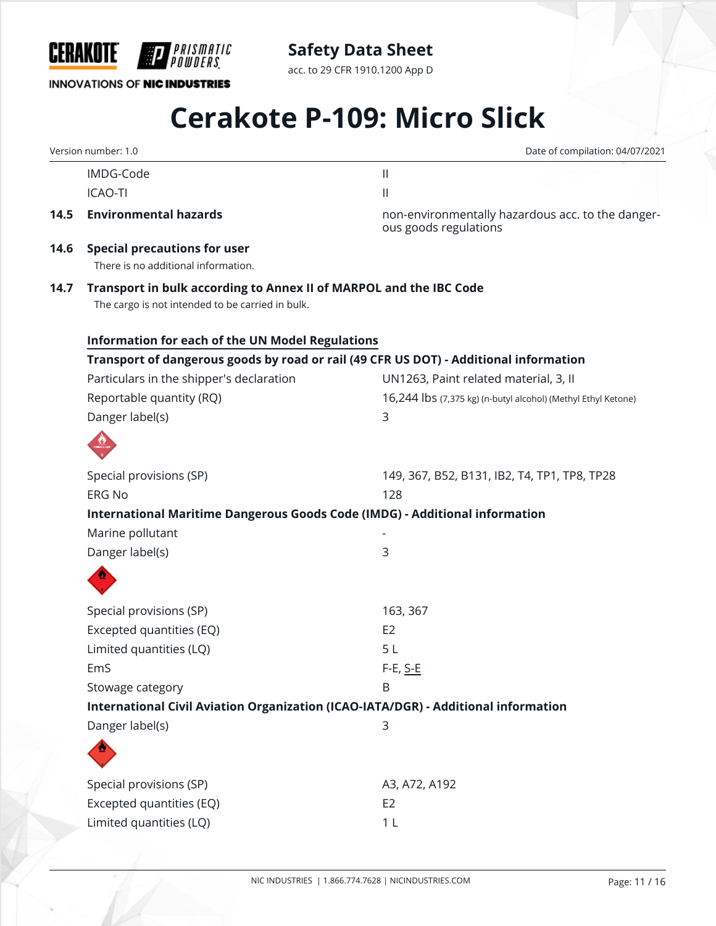

**INNOVATIONS OF NIC INDUSTRIES** 

acc. to 29 CFR 1910.1200 App D

# **Cerakote P-109: Micro Slick**

|      | Version number: 1.0                                                                                                    | Date of compilation: 04/07/2021                                            |
|------|------------------------------------------------------------------------------------------------------------------------|----------------------------------------------------------------------------|
|      | IMDG-Code                                                                                                              | $\left  \right $                                                           |
|      | <b>ICAO-TI</b>                                                                                                         | $\mathbf{  }$                                                              |
| 14.5 | <b>Environmental hazards</b>                                                                                           | non-environmentally hazardous acc. to the danger-<br>ous goods regulations |
| 14.6 | <b>Special precautions for user</b><br>There is no additional information.                                             |                                                                            |
| 14.7 | Transport in bulk according to Annex II of MARPOL and the IBC Code<br>The cargo is not intended to be carried in bulk. |                                                                            |
|      | <b>Information for each of the UN Model Regulations</b>                                                                |                                                                            |
|      | Transport of dangerous goods by road or rail (49 CFR US DOT) - Additional information                                  |                                                                            |
|      | Particulars in the shipper's declaration                                                                               | UN1263, Paint related material, 3, II                                      |
|      | Reportable quantity (RQ)                                                                                               | 16,244 lbs (7,375 kg) (n-butyl alcohol) (Methyl Ethyl Ketone)              |
|      | Danger label(s)                                                                                                        | 3                                                                          |
|      |                                                                                                                        |                                                                            |
|      | Special provisions (SP)                                                                                                | 149, 367, B52, B131, IB2, T4, TP1, TP8, TP28                               |
|      | <b>ERG No</b>                                                                                                          | 128                                                                        |
|      | International Maritime Dangerous Goods Code (IMDG) - Additional information                                            |                                                                            |
|      | Marine pollutant                                                                                                       |                                                                            |
|      | Danger label(s)                                                                                                        | 3                                                                          |
|      |                                                                                                                        |                                                                            |
|      | Special provisions (SP)                                                                                                | 163, 367                                                                   |
|      | Excepted quantities (EQ)                                                                                               | E <sub>2</sub>                                                             |
|      | Limited quantities (LQ)                                                                                                | 5L                                                                         |
|      | EmS                                                                                                                    | F-E, S-E                                                                   |
|      | Stowage category                                                                                                       | B                                                                          |
|      | International Civil Aviation Organization (ICAO-IATA/DGR) - Additional information                                     |                                                                            |
|      | Danger label(s)                                                                                                        | 3                                                                          |
|      |                                                                                                                        |                                                                            |
|      | Special provisions (SP)                                                                                                | A3, A72, A192                                                              |
|      | Excepted quantities (EQ)                                                                                               | E <sub>2</sub>                                                             |
|      | Limited quantities (LQ)                                                                                                | 1 <sub>L</sub>                                                             |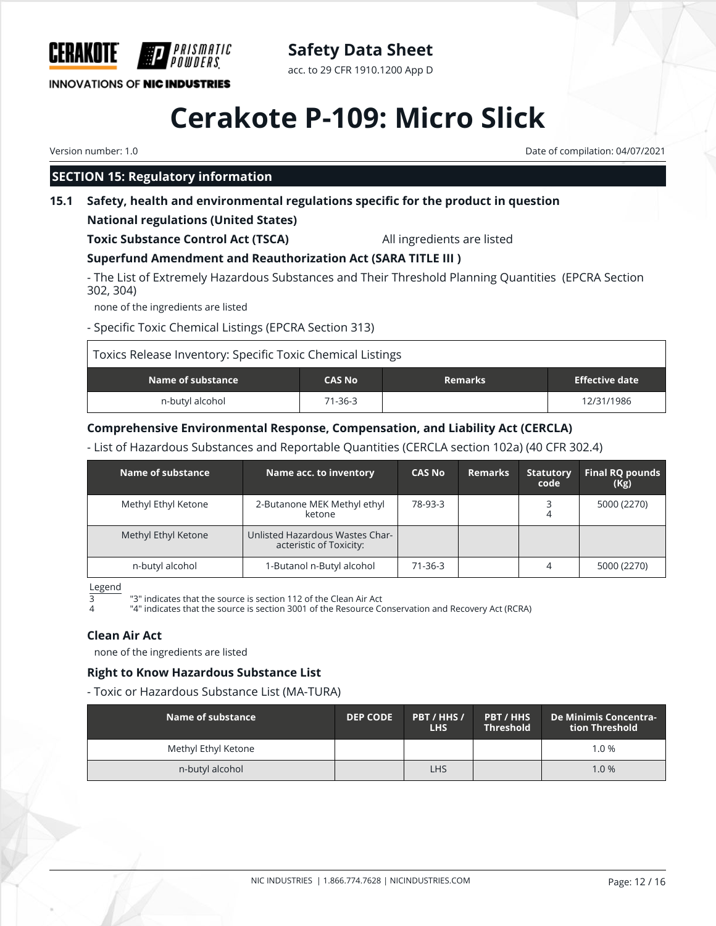

**Safety Data Sheet** acc. to 29 CFR 1910.1200 App D

# **Cerakote P-109: Micro Slick**

Version number: 1.0 Date of compilation: 04/07/2021

## **SECTION 15: Regulatory information**

## **15.1 Safety, health and environmental regulations specific for the product in question**

## **National regulations (United States)**

**Toxic Substance Control Act (TSCA)** All ingredients are listed

## **Superfund Amendment and Reauthorization Act (SARA TITLE III )**

- The List of Extremely Hazardous Substances and Their Threshold Planning Quantities (EPCRA Section 302, 304)

none of the ingredients are listed

- Specific Toxic Chemical Listings (EPCRA Section 313)

| Toxics Release Inventory: Specific Toxic Chemical Listings |               |                |                |
|------------------------------------------------------------|---------------|----------------|----------------|
| Name of substance                                          | <b>CAS No</b> | <b>Remarks</b> | Effective date |
| n-butyl alcohol                                            | 71-36-3       |                | 12/31/1986     |

## **Comprehensive Environmental Response, Compensation, and Liability Act (CERCLA)**

- List of Hazardous Substances and Reportable Quantities (CERCLA section 102a) (40 CFR 302.4)

| Name of substance   | Name acc. to inventory                                     | <b>CAS No</b> | <b>Remarks</b> | <b>Statutory</b><br>code | Final RQ pounds<br>(Kg) |
|---------------------|------------------------------------------------------------|---------------|----------------|--------------------------|-------------------------|
| Methyl Ethyl Ketone | 2-Butanone MEK Methyl ethyl<br>ketone                      | 78-93-3       |                |                          | 5000 (2270)             |
| Methyl Ethyl Ketone | Unlisted Hazardous Wastes Char-<br>acteristic of Toxicity: |               |                |                          |                         |
| n-butyl alcohol     | 1-Butanol n-Butyl alcohol                                  | 71-36-3       |                | 4                        | 5000 (2270)             |

Legend

3 "3" indicates that the source is section 112 of the Clean Air Act

"4" indicates that the source is section 3001 of the Resource Conservation and Recovery Act (RCRA)

### **Clean Air Act**

none of the ingredients are listed

### **Right to Know Hazardous Substance List**

- Toxic or Hazardous Substance List (MA-TURA)

| Name of substance   | <b>DEP CODE</b> | PBT / HHS /<br>LHS. | PBT / HHS<br><b>Threshold</b> | De Minimis Concentra-<br>tion Threshold |
|---------------------|-----------------|---------------------|-------------------------------|-----------------------------------------|
| Methyl Ethyl Ketone |                 |                     |                               | 1.0%                                    |
| n-butyl alcohol     |                 | LHS                 |                               | 1.0%                                    |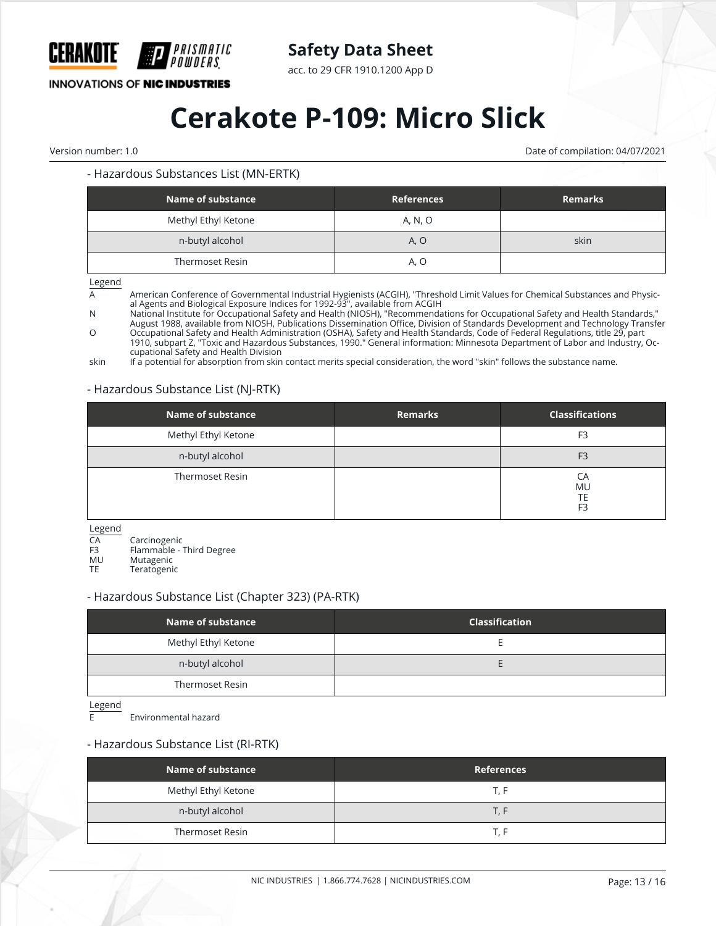

acc. to 29 CFR 1910.1200 App D

### **INNOVATIONS OF NIC INDUSTRIES**

## **Cerakote P-109: Micro Slick**

Version number: 1.0 Date of compilation: 04/07/2021

#### - Hazardous Substances List (MN-ERTK)

| Name of substance      | <b>References</b> | <b>Remarks</b> |
|------------------------|-------------------|----------------|
| Methyl Ethyl Ketone    | A, N, O           |                |
| n-butyl alcohol        | A, O              | skin           |
| <b>Thermoset Resin</b> | A, O              |                |

Legend

A **American Conference of Governmental Industrial Hygienists (ACGIH)**, "Threshold Limit Values for Chemical Substances and Physical Agents and Biological Exposure Indices for 1992-93", available from ACGIH

N National Institute for Occupational Safety and Health (NIOSH), "Recommendations for Occupational Safety and Health Standards," August 1988, available from NIOSH, Publications Dissemination Office, Division of Standards Development and Technology Transfer

O Occupational Safety and Health Administration (OSHA), Safety and Health Standards, Code of Federal Regulations, title 29, part 1910, subpart Z, "Toxic and Hazardous Substances, 1990." General information: Minnesota Department of Labor and Industry, Occupational Safety and Health Division

skin If a potential for absorption from skin contact merits special consideration, the word "skin" follows the substance name.

#### - Hazardous Substance List (NJ-RTK)

| <b>Name of substance</b> | <b>Remarks</b> | <b>Classifications</b>                  |
|--------------------------|----------------|-----------------------------------------|
| Methyl Ethyl Ketone      |                | F <sub>3</sub>                          |
| n-butyl alcohol          |                | F <sub>3</sub>                          |
| <b>Thermoset Resin</b>   |                | CA<br><b>MU</b><br>TE<br>F <sub>3</sub> |

Legend<br>CA

CA Carcinogenic<br>F3 Flammable -

F3 Flammable - Third Degree<br>MU Mutagenic

MU Mutagenic<br>TF Teratogeni

**Teratogenic** 

#### - Hazardous Substance List (Chapter 323) (PA-RTK)

| Name of substance   | <b>Classification</b> |
|---------------------|-----------------------|
| Methyl Ethyl Ketone |                       |
| n-butyl alcohol     |                       |
| Thermoset Resin     |                       |

Legend

E Environmental hazard

#### - Hazardous Substance List (RI-RTK)

| Name of substance   | <b>References</b> |
|---------------------|-------------------|
| Methyl Ethyl Ketone | T. F              |
| n-butyl alcohol     | T. F              |
| Thermoset Resin     | T. F              |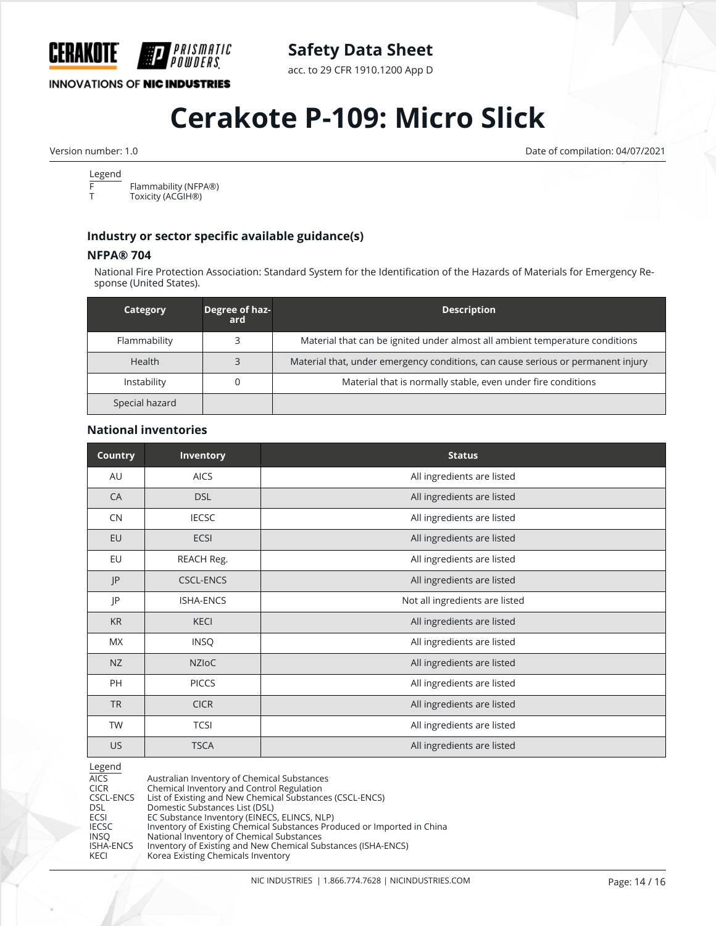

acc. to 29 CFR 1910.1200 App D

### **INNOVATIONS OF NIC INDUSTRIES**

## **Cerakote P-109: Micro Slick**

Version number: 1.0 Date of compilation: 04/07/2021

## Legend<br>F

 $\overline{F}$  Flammability (NFPA®)<br>T Toxicity (ACGIH®) Toxicity (ACGIH<sup>®</sup>)

#### **Industry or sector specific available guidance(s)**

#### **NFPA® 704**

National Fire Protection Association: Standard System for the Identification of the Hazards of Materials for Emergency Response (United States).

| Category       | Degree of haz-<br>ard | <b>Description</b>                                                               |
|----------------|-----------------------|----------------------------------------------------------------------------------|
| Flammability   |                       | Material that can be ignited under almost all ambient temperature conditions     |
| <b>Health</b>  |                       | Material that, under emergency conditions, can cause serious or permanent injury |
| Instability    |                       | Material that is normally stable, even under fire conditions                     |
| Special hazard |                       |                                                                                  |

#### **National inventories**

| <b>Country</b> | <b>Inventory</b> | <b>Status</b>                  |
|----------------|------------------|--------------------------------|
| AU             | <b>AICS</b>      | All ingredients are listed     |
| CA             | <b>DSL</b>       | All ingredients are listed     |
| CN             | <b>IECSC</b>     | All ingredients are listed     |
| EU             | ECSI             | All ingredients are listed     |
| EU             | REACH Reg.       | All ingredients are listed     |
| P              | <b>CSCL-ENCS</b> | All ingredients are listed     |
| JP             | <b>ISHA-ENCS</b> | Not all ingredients are listed |
| <b>KR</b>      | <b>KECI</b>      | All ingredients are listed     |
| MX             | <b>INSQ</b>      | All ingredients are listed     |
| NZ             | <b>NZIOC</b>     | All ingredients are listed     |
| PH             | <b>PICCS</b>     | All ingredients are listed     |
| <b>TR</b>      | <b>CICR</b>      | All ingredients are listed     |
| <b>TW</b>      | <b>TCSI</b>      | All ingredients are listed     |
| <b>US</b>      | <b>TSCA</b>      | All ingredients are listed     |

Legend<br>AICS AICS Australian Inventory of Chemical Substances CICR Chemical Inventory and Control Regulation CSCL-ENCS List of Existing and New Chemical Substances (CSCL-ENCS) DSL Domestic Substances List (DSL)<br>ECSI ECS Cubstance Inventory (EINECS ECSI EC Substance Inventory (EINECS, ELINCS, NLP)<br>IECSC Inventory of Existing Chemical Substances Pro IECSC Inventory of Existing Chemical Substances Produced or Imported in China INSQ National Inventory of Chemical Substances ISHA-ENCS Inventory of Existing and New Chemical Substances (ISHA-ENCS) KECI Korea Existing Chemicals Inventory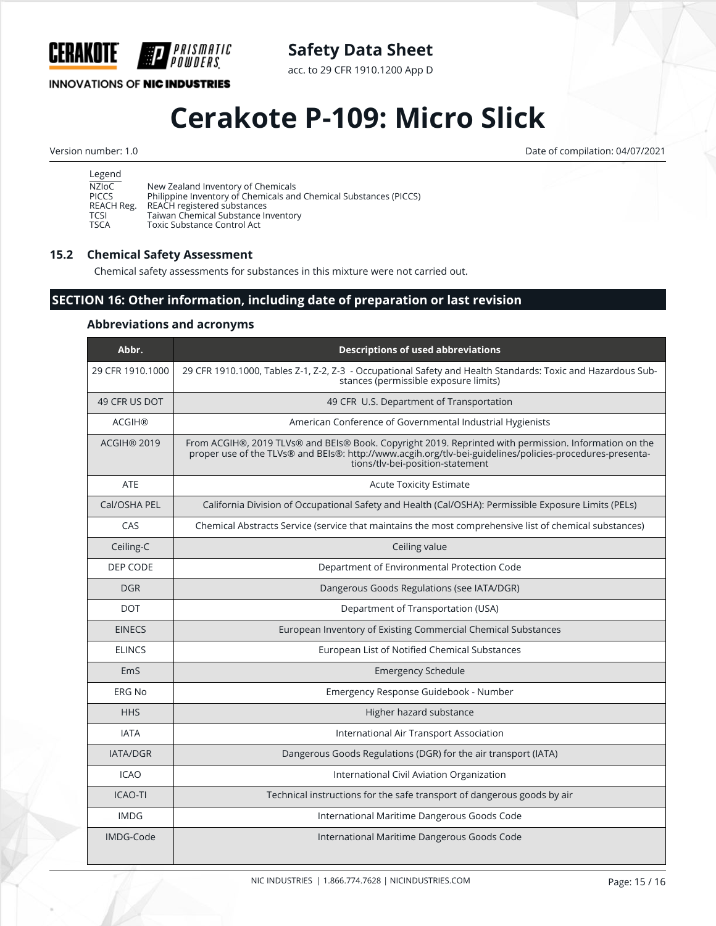

acc. to 29 CFR 1910.1200 App D

## **INNOVATIONS OF NIC INDUSTRIES**

**HP** 

PRISMATIC

'OWDERS

## **Cerakote P-109: Micro Slick**

Version number: 1.0 Date of compilation: 04/07/2021

| Legend       |                                                                   |
|--------------|-------------------------------------------------------------------|
| NZIoC        | New Zealand Inventory of Chemicals                                |
| <b>PICCS</b> | Philippine Inventory of Chemicals and Chemical Substances (PICCS) |
| REACH Reg.   | REACH registered substances                                       |
| <b>TCSI</b>  | Taiwan Chemical Substance Inventory                               |
| <b>TSCA</b>  | Toxic Substance Control Act                                       |

### **15.2 Chemical Safety Assessment**

Chemical safety assessments for substances in this mixture were not carried out.

## **SECTION 16: Other information, including date of preparation or last revision**

#### **Abbreviations and acronyms**

| Abbr.            | <b>Descriptions of used abbreviations</b>                                                                                                                                                                                                             |
|------------------|-------------------------------------------------------------------------------------------------------------------------------------------------------------------------------------------------------------------------------------------------------|
| 29 CFR 1910.1000 | 29 CFR 1910.1000, Tables Z-1, Z-2, Z-3 - Occupational Safety and Health Standards: Toxic and Hazardous Sub-<br>stances (permissible exposure limits)                                                                                                  |
| 49 CFR US DOT    | 49 CFR U.S. Department of Transportation                                                                                                                                                                                                              |
| <b>ACGIH®</b>    | American Conference of Governmental Industrial Hygienists                                                                                                                                                                                             |
| ACGIH® 2019      | From ACGIH®, 2019 TLVs® and BEIs® Book. Copyright 2019. Reprinted with permission. Information on the<br>proper use of the TLVs® and BEIs®: http://www.acgih.org/tlv-bei-guidelines/policies-procedures-presenta-<br>tions/tlv-bei-position-statement |
| ATF              | <b>Acute Toxicity Estimate</b>                                                                                                                                                                                                                        |
| Cal/OSHA PEL     | California Division of Occupational Safety and Health (Cal/OSHA): Permissible Exposure Limits (PELs)                                                                                                                                                  |
| CAS              | Chemical Abstracts Service (service that maintains the most comprehensive list of chemical substances)                                                                                                                                                |
| Ceiling-C        | Ceiling value                                                                                                                                                                                                                                         |
| DEP CODE         | Department of Environmental Protection Code                                                                                                                                                                                                           |
| <b>DGR</b>       | Dangerous Goods Regulations (see IATA/DGR)                                                                                                                                                                                                            |
| <b>DOT</b>       | Department of Transportation (USA)                                                                                                                                                                                                                    |
| <b>EINECS</b>    | European Inventory of Existing Commercial Chemical Substances                                                                                                                                                                                         |
| <b>ELINCS</b>    | European List of Notified Chemical Substances                                                                                                                                                                                                         |
| EmS              | <b>Emergency Schedule</b>                                                                                                                                                                                                                             |
| ERG No           | Emergency Response Guidebook - Number                                                                                                                                                                                                                 |
| <b>HHS</b>       | Higher hazard substance                                                                                                                                                                                                                               |
| <b>IATA</b>      | International Air Transport Association                                                                                                                                                                                                               |
| <b>IATA/DGR</b>  | Dangerous Goods Regulations (DGR) for the air transport (IATA)                                                                                                                                                                                        |
| <b>ICAO</b>      | International Civil Aviation Organization                                                                                                                                                                                                             |
| <b>ICAO-TI</b>   | Technical instructions for the safe transport of dangerous goods by air                                                                                                                                                                               |
| <b>IMDG</b>      | International Maritime Dangerous Goods Code                                                                                                                                                                                                           |
| IMDG-Code        | International Maritime Dangerous Goods Code                                                                                                                                                                                                           |